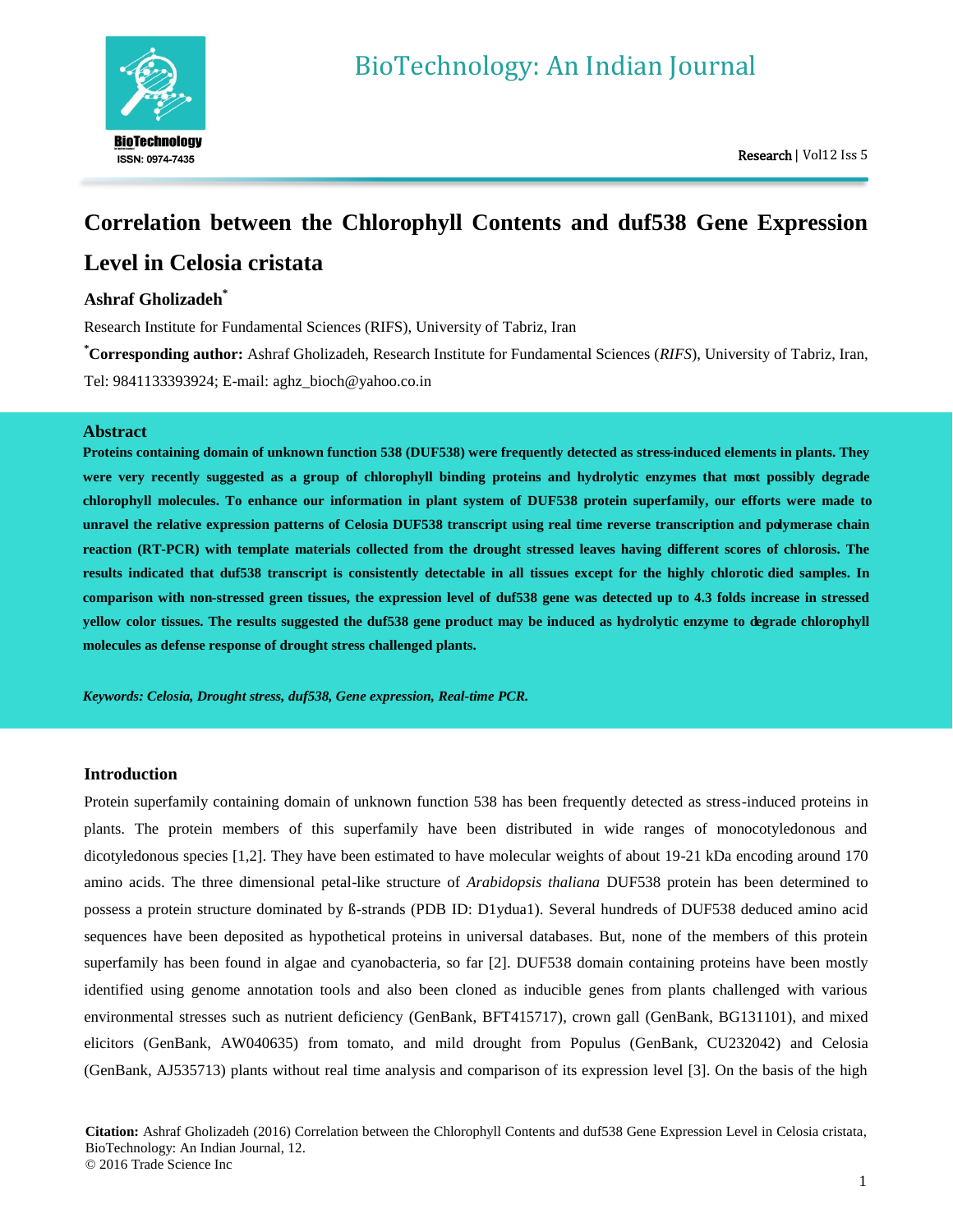

# **Correlation between the Chlorophyll Contents and duf538 Gene Expression Level in Celosia cristata**

# **Ashraf Gholizadeh\***

Research Institute for Fundamental Sciences (RIFS), University of Tabriz, Iran

**\*Corresponding author:** Ashraf Gholizadeh, Research Institute for Fundamental Sciences (*RIFS*), University of Tabriz, Iran, Tel: 9841133393924; E-mail: [aghz\\_bioch@yahoo.co.in](mailto:aghz_bioch@yahoo.co.in)

# **Abstract**

**Proteins containing domain of unknown function 538 (DUF538) were frequently detected as stress-induced elements in plants. They were very recently suggested as a group of chlorophyll binding proteins and hydrolytic enzymes that most possibly degrade chlorophyll molecules. To enhance our information in plant system of DUF538 protein superfamily, our efforts were made to unravel the relative expression patterns of Celosia DUF538 transcript using real time reverse transcription and polymerase chain reaction (RT-PCR) with template materials collected from the drought stressed leaves having different scores of chlorosis. The results indicated that duf538 transcript is consistently detectable in all tissues except for the highly chlorotic died samples. In comparison with non-stressed green tissues, the expression level of duf538 gene was detected up to 4.3 folds increase in stressed yellow color tissues. The results suggested the duf538 gene product may be induced as hydrolytic enzyme to degrade chlorophyll molecules as defense response of drought stress challenged plants.**

*Keywords: Celosia, Drought stress, duf538, Gene expression, Real-time PCR.*

# **Introduction**

Protein superfamily containing domain of unknown function 538 has been frequently detected as stress-induced proteins in plants. The protein members of this superfamily have been distributed in wide ranges of monocotyledonous and dicotyledonous species [1,2]. They have been estimated to have molecular weights of about 19-21 kDa encoding around 170 amino acids. The three dimensional petal-like structure of *Arabidopsis thaliana* DUF538 protein has been determined to possess a protein structure dominated by ß-strands (PDB ID: D1ydua1). Several hundreds of DUF538 deduced amino acid sequences have been deposited as hypothetical proteins in universal databases. But, none of the members of this protein superfamily has been found in algae and cyanobacteria, so far [2]. DUF538 domain containing proteins have been mostly identified using genome annotation tools and also been cloned as inducible genes from plants challenged with various environmental stresses such as nutrient deficiency (GenBank, BFT415717), crown gall (GenBank, BG131101), and mixed elicitors (GenBank, AW040635) from tomato, and mild drought from Populus (GenBank, CU232042) and Celosia (GenBank, AJ535713) plants without real time analysis and comparison of its expression level [3]. On the basis of the high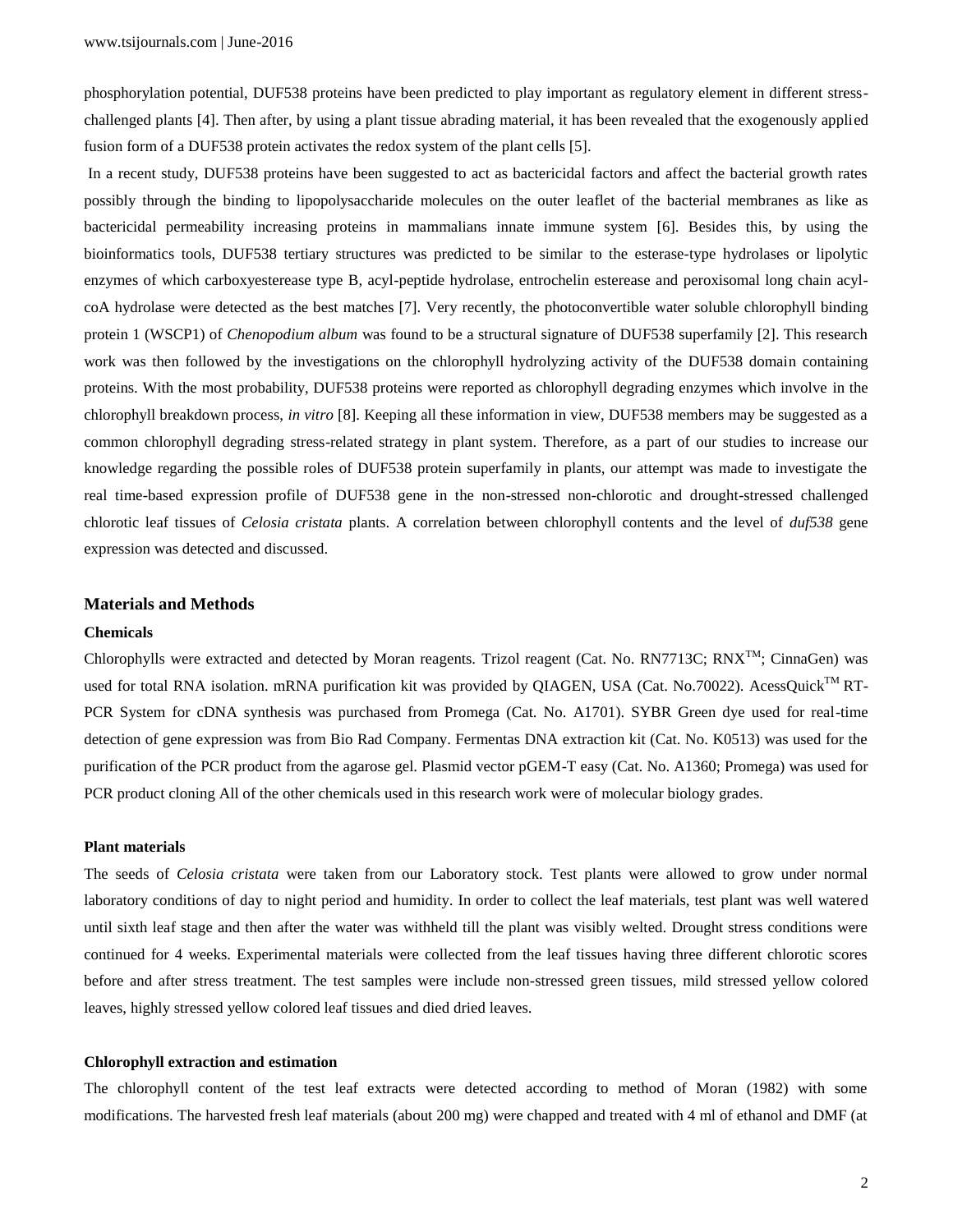phosphorylation potential, DUF538 proteins have been predicted to play important as regulatory element in different stresschallenged plants [4]. Then after, by using a plant tissue abrading material, it has been revealed that the exogenously applied fusion form of a DUF538 protein activates the redox system of the plant cells [5].

In a recent study, DUF538 proteins have been suggested to act as bactericidal factors and affect the bacterial growth rates possibly through the binding to lipopolysaccharide molecules on the outer leaflet of the bacterial membranes as like as bactericidal permeability increasing proteins in mammalians innate immune system [6]. Besides this, by using the bioinformatics tools, DUF538 tertiary structures was predicted to be similar to the esterase-type hydrolases or lipolytic enzymes of which carboxyesterease type B, acyl-peptide hydrolase, entrochelin esterease and peroxisomal long chain acylcoA hydrolase were detected as the best matches [7]. Very recently, the photoconvertible water soluble chlorophyll binding protein 1 (WSCP1) of *Chenopodium album* was found to be a structural signature of DUF538 superfamily [2]. This research work was then followed by the investigations on the chlorophyll hydrolyzing activity of the DUF538 domain containing proteins. With the most probability, DUF538 proteins were reported as chlorophyll degrading enzymes which involve in the chlorophyll breakdown process, *in vitro* [8]. Keeping all these information in view, DUF538 members may be suggested as a common chlorophyll degrading stress-related strategy in plant system. Therefore, as a part of our studies to increase our knowledge regarding the possible roles of DUF538 protein superfamily in plants, our attempt was made to investigate the real time-based expression profile of DUF538 gene in the non-stressed non-chlorotic and drought-stressed challenged chlorotic leaf tissues of *Celosia cristata* plants. A correlation between chlorophyll contents and the level of *duf538* gene expression was detected and discussed.

#### **Materials and Methods**

## **Chemicals**

Chlorophylls were extracted and detected by Moran reagents. Trizol reagent (Cat. No. RN7713C; RNX<sup>TM</sup>; CinnaGen) was used for total RNA isolation. mRNA purification kit was provided by QIAGEN, USA (Cat. No.70022). AcessQuick<sup>TM</sup> RT-PCR System for cDNA synthesis was purchased from Promega (Cat. No. A1701). SYBR Green dye used for real-time detection of gene expression was from Bio Rad Company. Fermentas DNA extraction kit (Cat. No. K0513) was used for the purification of the PCR product from the agarose gel. Plasmid vector pGEM-T easy (Cat. No. A1360; Promega) was used for PCR product cloning All of the other chemicals used in this research work were of molecular biology grades.

#### **Plant materials**

The seeds of *Celosia cristata* were taken from our Laboratory stock. Test plants were allowed to grow under normal laboratory conditions of day to night period and humidity. In order to collect the leaf materials, test plant was well watered until sixth leaf stage and then after the water was withheld till the plant was visibly welted. Drought stress conditions were continued for 4 weeks. Experimental materials were collected from the leaf tissues having three different chlorotic scores before and after stress treatment. The test samples were include non-stressed green tissues, mild stressed yellow colored leaves, highly stressed yellow colored leaf tissues and died dried leaves.

#### **Chlorophyll extraction and estimation**

The chlorophyll content of the test leaf extracts were detected according to method of Moran (1982) with some modifications. The harvested fresh leaf materials (about 200 mg) were chapped and treated with 4 ml of ethanol and DMF (at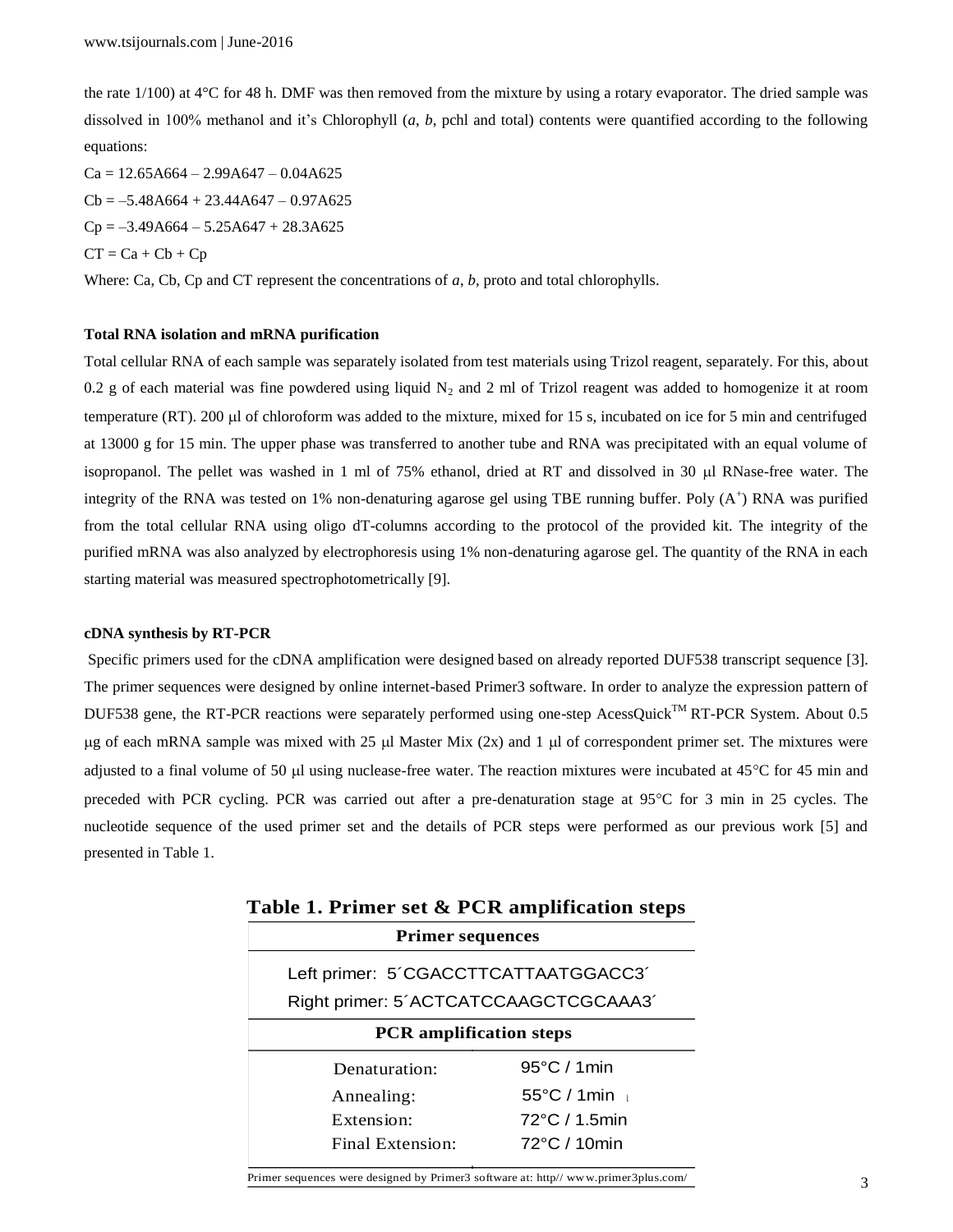the rate 1/100) at 4°C for 48 h. DMF was then removed from the mixture by using a rotary evaporator. The dried sample was dissolved in 100% methanol and it's Chlorophyll (*a*, *b*, pchl and total) contents were quantified according to the following equations:

 $Ca = 12.65A664 - 2.99A647 - 0.04A625$  $Cb = -5.48A664 + 23.44A647 - 0.97A625$  $Cp = -3.49A664 - 5.25A647 + 28.3A625$  $CT = Ca + Cb + Cp$ 

Where: Ca, Cb, Cp and CT represent the concentrations of *a*, *b*, proto and total chlorophylls.

## **Total RNA isolation and mRNA purification**

Total cellular RNA of each sample was separately isolated from test materials using Trizol reagent, separately. For this, about 0.2 g of each material was fine powdered using liquid  $N_2$  and 2 ml of Trizol reagent was added to homogenize it at room temperature (RT). 200  $\mu$  of chloroform was added to the mixture, mixed for 15 s, incubated on ice for 5 min and centrifuged at 13000 g for 15 min. The upper phase was transferred to another tube and RNA was precipitated with an equal volume of isopropanol. The pellet was washed in 1 ml of 75% ethanol, dried at RT and dissolved in 30  $\mu$ l RNase-free water. The integrity of the RNA was tested on 1% non-denaturing agarose gel using TBE running buffer. Poly  $(A^+)$  RNA was purified from the total cellular RNA using oligo dT-columns according to the protocol of the provided kit. The integrity of the purified mRNA was also analyzed by electrophoresis using 1% non-denaturing agarose gel. The quantity of the RNA in each starting material was measured spectrophotometrically [9].

## **cDNA synthesis by RT-PCR**

Specific primers used for the cDNA amplification were designed based on already reported DUF538 transcript sequence [3]. The primer sequences were designed by online internet-based Primer3 software. In order to analyze the expression pattern of DUF538 gene, the RT-PCR reactions were separately performed using one-step AcessQuick™ RT-PCR System. About 0.5  $\mu$ g of each mRNA sample was mixed with 25  $\mu$ l Master Mix (2x) and 1  $\mu$ l of correspondent primer set. The mixtures were adjusted to a final volume of 50  $\mu$ l using nuclease-free water. The reaction mixtures were incubated at 45°C for 45 min and preceded with PCR cycling. PCR was carried out after a pre-denaturation stage at 95°C for 3 min in 25 cycles. The nucleotide sequence of the used primer set and the details of PCR steps were performed as our previous work [5] and presented in Table 1.

| <b>Primer sequences</b>               |                       |  |  |
|---------------------------------------|-----------------------|--|--|
| Left primer: 5'CGACCTTCATTAATGGACC3'  |                       |  |  |
| Right primer: 5'ACTCATCCAAGCTCGCAAA3' |                       |  |  |
| <b>PCR</b> amplification steps        |                       |  |  |
| Denaturation:                         | $95^{\circ}$ C / 1min |  |  |
| Annealing:                            | 55°C / 1min L         |  |  |
| Extension:                            | 72°C / 1.5min         |  |  |
| Final Extension:                      | 72°C / 10min          |  |  |

|  |                         | Table 1. Primer set & PCR amplification steps |  |
|--|-------------------------|-----------------------------------------------|--|
|  | <b>Primer sequences</b> |                                               |  |

Primer sequences were designed by Primer3 software at: http// www.primer3plus.com/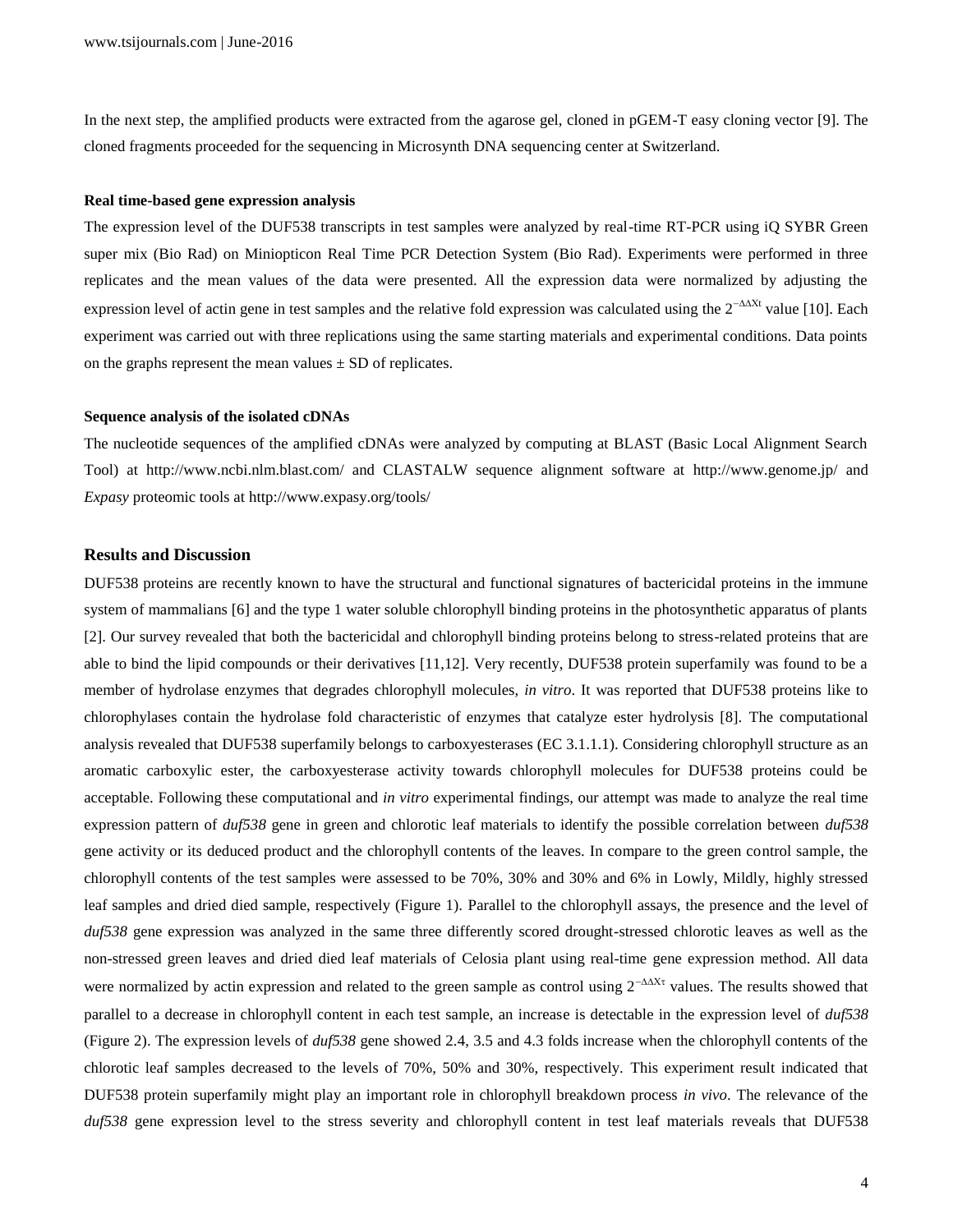In the next step, the amplified products were extracted from the agarose gel, cloned in pGEM-T easy cloning vector [9]. The cloned fragments proceeded for the sequencing in Microsynth DNA sequencing center at Switzerland.

#### **Real time-based gene expression analysis**

The expression level of the DUF538 transcripts in test samples were analyzed by real-time RT-PCR using iQ SYBR Green super mix (Bio Rad) on Miniopticon Real Time PCR Detection System (Bio Rad). Experiments were performed in three replicates and the mean values of the data were presented. All the expression data were normalized by adjusting the expression level of actin gene in test samples and the relative fold expression was calculated using the  $2^{-\Delta X}$  value [10]. Each experiment was carried out with three replications using the same starting materials and experimental conditions. Data points on the graphs represent the mean values  $\pm$  SD of replicates.

#### **Sequence analysis of the isolated cDNAs**

The nucleotide sequences of the amplified cDNAs were analyzed by computing at BLAST (Basic Local Alignment Search Tool) at <http://www.ncbi.nlm.blast.com/> and CLASTALW sequence alignment software at <http://www.genome.jp/> and *Expasy* proteomic tools at<http://www.expasy.org/tools/>

## **Results and Discussion**

DUF538 proteins are recently known to have the structural and functional signatures of bactericidal proteins in the immune system of mammalians [6] and the type 1 water soluble chlorophyll binding proteins in the photosynthetic apparatus of plants [2]. Our survey revealed that both the bactericidal and chlorophyll binding proteins belong to stress-related proteins that are able to bind the lipid compounds or their derivatives [11,12]. Very recently, DUF538 protein superfamily was found to be a member of hydrolase enzymes that degrades chlorophyll molecules, *in vitro*. It was reported that DUF538 proteins like to chlorophylases contain the hydrolase fold characteristic of enzymes that catalyze ester hydrolysis [8]. The computational analysis revealed that DUF538 superfamily belongs to carboxyesterases [\(EC](http://en.wikipedia.org/wiki/Enzyme_Commission_number) [3.1.1.1\)](http://enzyme.expasy.org/EC/3.1.1.1). Considering chlorophyll structure as an aromatic carboxylic ester, the carboxyesterase activity towards chlorophyll molecules for DUF538 proteins could be acceptable. Following these computational and *in vitro* experimental findings, our attempt was made to analyze the real time expression pattern of *duf538* gene in green and chlorotic leaf materials to identify the possible correlation between *duf538* gene activity or its deduced product and the chlorophyll contents of the leaves. In compare to the green control sample, the chlorophyll contents of the test samples were assessed to be 70%, 30% and 30% and 6% in Lowly, Mildly, highly stressed leaf samples and dried died sample, respectively (Figure 1). Parallel to the chlorophyll assays, the presence and the level of *duf538* gene expression was analyzed in the same three differently scored drought-stressed chlorotic leaves as well as the non-stressed green leaves and dried died leaf materials of Celosia plant using real-time gene expression method. All data were normalized by actin expression and related to the green sample as control using  $2^{-\Delta X^{\tau}}$  values. The results showed that parallel to a decrease in chlorophyll content in each test sample, an increase is detectable in the expression level of *duf538* (Figure 2). The expression levels of *duf538* gene showed 2.4, 3.5 and 4.3 folds increase when the chlorophyll contents of the chlorotic leaf samples decreased to the levels of 70%, 50% and 30%, respectively. This experiment result indicated that DUF538 protein superfamily might play an important role in chlorophyll breakdown process *in vivo*. The relevance of the *duf538* gene expression level to the stress severity and chlorophyll content in test leaf materials reveals that DUF538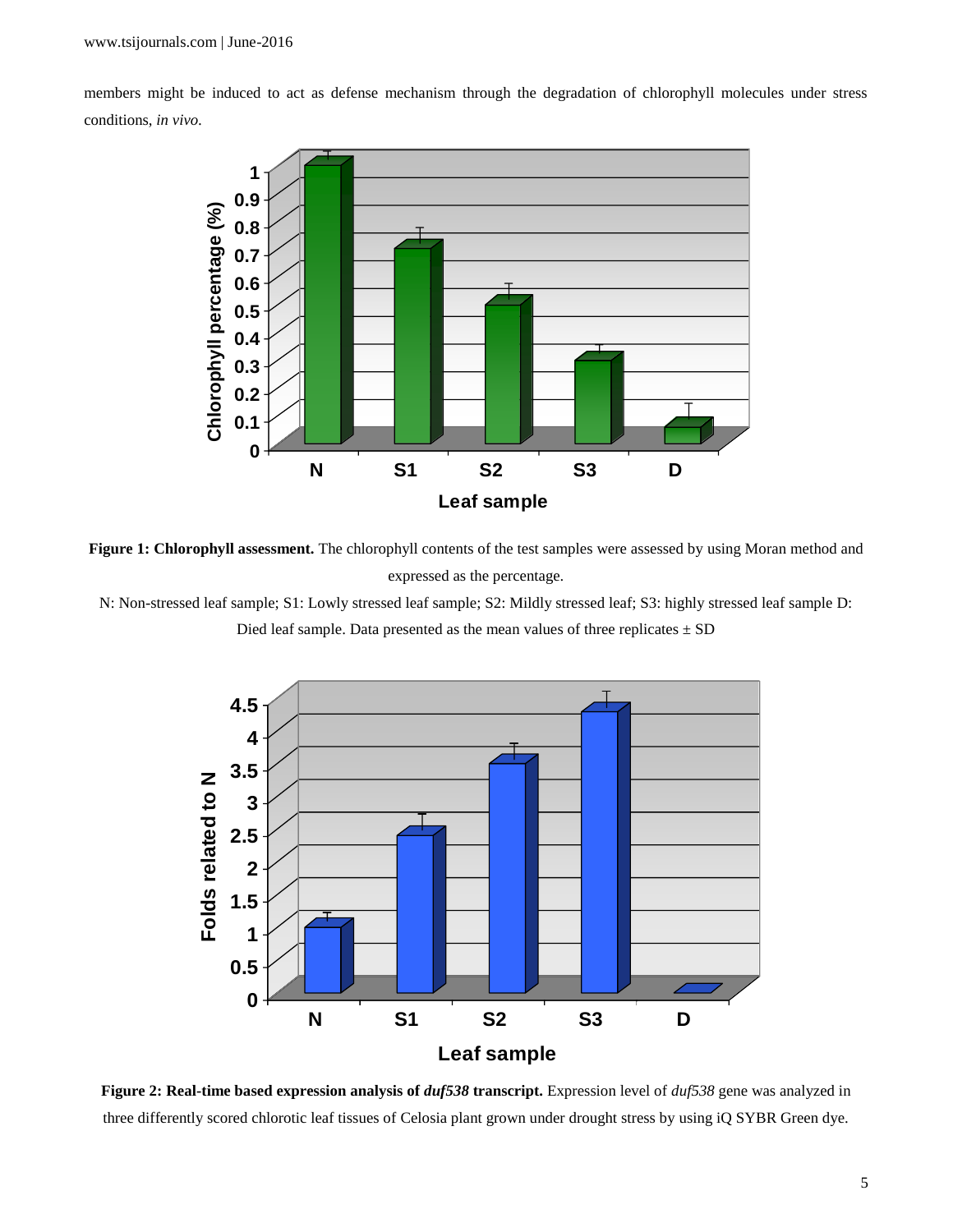members might be induced to act as defense mechanism through the degradation of chlorophyll molecules under stress conditions, *in vivo.*



**Figure 1: Chlorophyll assessment.** The chlorophyll contents of the test samples were assessed by using Moran method and expressed as the percentage.

N: Non-stressed leaf sample; S1: Lowly stressed leaf sample; S2: Mildly stressed leaf; S3: highly stressed leaf sample D:

Died leaf sample. Data presented as the mean values of three replicates  $\pm$  SD



**Figure 2: Real-time based expression analysis of** *duf538* **transcript.** Expression level of *duf538* gene was analyzed in three differently scored chlorotic leaf tissues of Celosia plant grown under drought stress by using iQ SYBR Green dye.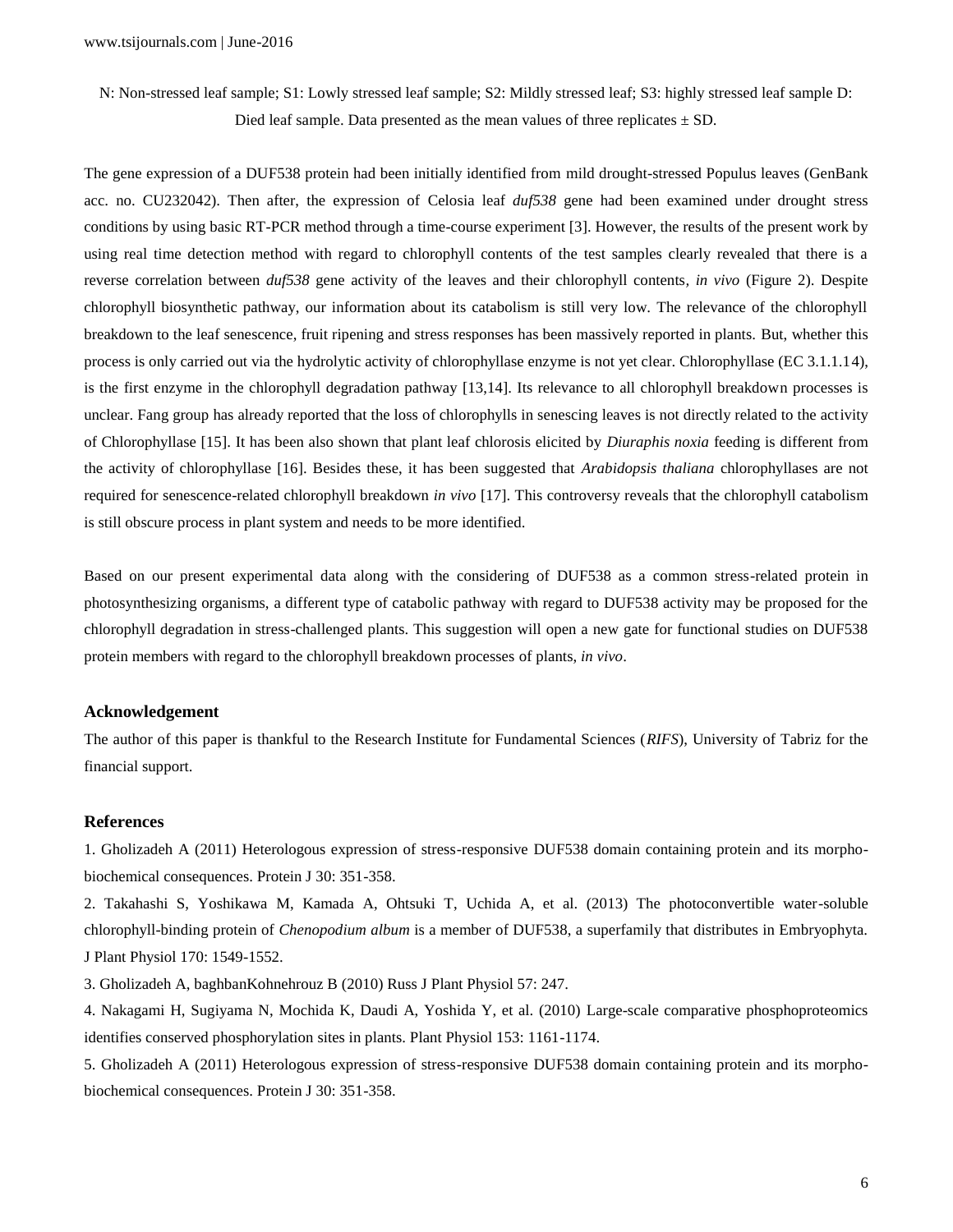N: Non-stressed leaf sample; S1: Lowly stressed leaf sample; S2: Mildly stressed leaf; S3: highly stressed leaf sample D: Died leaf sample. Data presented as the mean values of three replicates  $\pm$  SD.

The gene expression of a DUF538 protein had been initially identified from mild drought-stressed Populus leaves (GenBank acc. no. CU232042). Then after, the expression of Celosia leaf *duf538* gene had been examined under drought stress conditions by using basic RT-PCR method through a time-course experiment [3]. However, the results of the present work by using real time detection method with regard to chlorophyll contents of the test samples clearly revealed that there is a reverse correlation between *duf538* gene activity of the leaves and their chlorophyll contents*, in vivo* (Figure 2). Despite chlorophyll biosynthetic pathway, our information about its catabolism is still very low. The relevance of the chlorophyll breakdown to the leaf senescence, fruit ripening and stress responses has been massively reported in plants. But, whether this process is only carried out via the hydrolytic activity of chlorophyllase enzyme is not yet clear. Chlorophyllase (EC 3.1.1.14), is the first enzyme in the chlorophyll degradation pathway [13,14]. Its relevance to all chlorophyll breakdown processes is unclear. Fang group has already reported that the loss of chlorophylls in senescing leaves is not directly related to the activity of Chlorophyllase [15]. It has been also shown that plant leaf chlorosis elicited by *Diuraphis noxia* feeding is different from the activity of chlorophyllase [16]. Besides these, it has been suggested that *Arabidopsis thaliana* chlorophyllases are not required for senescence-related chlorophyll breakdown *in vivo* [17]. This controversy reveals that the chlorophyll catabolism is still obscure process in plant system and needs to be more identified.

Based on our present experimental data along with the considering of DUF538 as a common stress-related protein in photosynthesizing organisms, a different type of catabolic pathway with regard to DUF538 activity may be proposed for the chlorophyll degradation in stress-challenged plants. This suggestion will open a new gate for functional studies on DUF538 protein members with regard to the chlorophyll breakdown processes of plants, *in vivo*.

#### **Acknowledgement**

The author of this paper is thankful to the Research Institute for Fundamental Sciences (*RIFS*), University of Tabriz for the financial support.

# **References**

1. Gholizadeh A (2011) Heterologous expression of stress-responsive DUF538 domain containing protein and its morphobiochemical consequences. Protein J 30: 351-358.

2. Takahashi S, Yoshikawa M, Kamada A, Ohtsuki T, Uchida A, et al. (2013) The photoconvertible water-soluble chlorophyll-binding protein of *Chenopodium album* is a member of DUF538, a superfamily that distributes in Embryophyta. J Plant Physiol 170: 1549-1552.

3. Gholizadeh A, baghbanKohnehrouz B (2010) Russ J Plant Physiol 57: 247.

4. Nakagami H, Sugiyama N, Mochida K, Daudi A, Yoshida Y, et al. (2010) Large-scale comparative phosphoproteomics identifies conserved phosphorylation sites in plants. Plant Physiol 153: 1161-1174.

5. Gholizadeh A (2011) Heterologous expression of stress-responsive DUF538 domain containing protein and its morphobiochemical consequences. Protein J 30: 351-358.